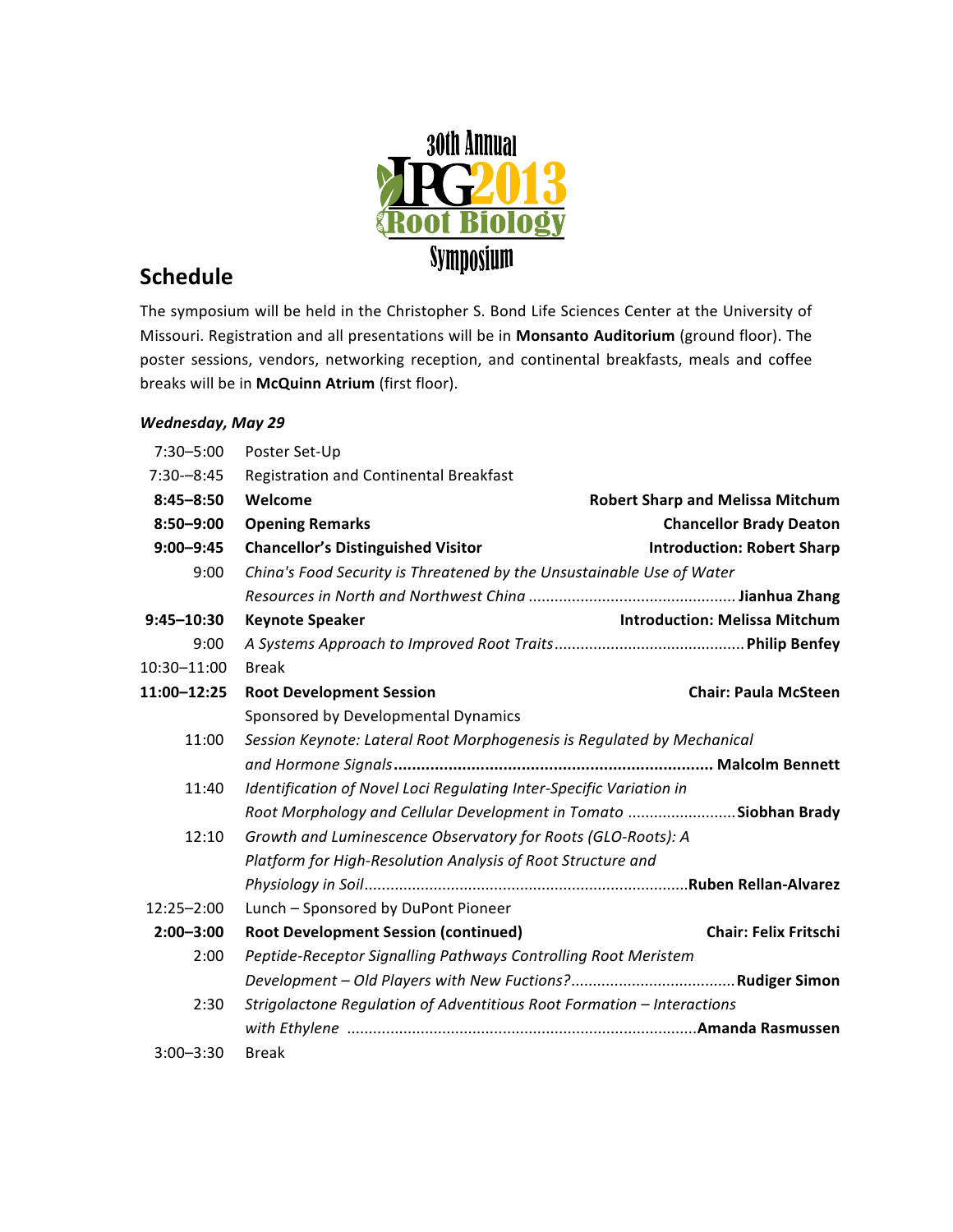

## **Schedule**

The symposium will be held in the Christopher S. Bond Life Sciences Center at the University of Missouri. Registration and all presentations will be in Monsanto Auditorium (ground floor). The poster sessions, vendors, networking reception, and continental breakfasts, meals and coffee breaks will be in McQuinn Atrium (first floor).

## *Wednesday, May 29*

| $7:30 - 5:00$  | Poster Set-Up                                                          |                                         |  |
|----------------|------------------------------------------------------------------------|-----------------------------------------|--|
| $7:30 - 8:45$  | Registration and Continental Breakfast                                 |                                         |  |
| $8:45 - 8:50$  | Welcome                                                                | <b>Robert Sharp and Melissa Mitchum</b> |  |
| $8:50 - 9:00$  | <b>Opening Remarks</b>                                                 | <b>Chancellor Brady Deaton</b>          |  |
| $9:00 - 9:45$  | <b>Chancellor's Distinguished Visitor</b>                              | <b>Introduction: Robert Sharp</b>       |  |
| 9:00           | China's Food Security is Threatened by the Unsustainable Use of Water  |                                         |  |
|                |                                                                        |                                         |  |
| $9:45 - 10:30$ | <b>Keynote Speaker</b>                                                 | <b>Introduction: Melissa Mitchum</b>    |  |
| 9:00           |                                                                        |                                         |  |
| 10:30-11:00    | <b>Break</b>                                                           |                                         |  |
| 11:00-12:25    | <b>Chair: Paula McSteen</b><br><b>Root Development Session</b>         |                                         |  |
|                | Sponsored by Developmental Dynamics                                    |                                         |  |
| 11:00          | Session Keynote: Lateral Root Morphogenesis is Regulated by Mechanical |                                         |  |
|                |                                                                        |                                         |  |
| 11:40          | Identification of Novel Loci Regulating Inter-Specific Variation in    |                                         |  |
|                | Root Morphology and Cellular Development in Tomato Siobhan Brady       |                                         |  |
| 12:10          | Growth and Luminescence Observatory for Roots (GLO-Roots): A           |                                         |  |
|                | Platform for High-Resolution Analysis of Root Structure and            |                                         |  |
|                |                                                                        |                                         |  |
| 12:25-2:00     | Lunch - Sponsored by DuPont Pioneer                                    |                                         |  |
| $2:00 - 3:00$  | <b>Root Development Session (continued)</b>                            | <b>Chair: Felix Fritschi</b>            |  |
| 2:00           | Peptide-Receptor Signalling Pathways Controlling Root Meristem         |                                         |  |
|                |                                                                        |                                         |  |
| 2:30           | Strigolactone Regulation of Adventitious Root Formation - Interactions |                                         |  |
|                |                                                                        |                                         |  |
| $3:00 - 3:30$  | <b>Break</b>                                                           |                                         |  |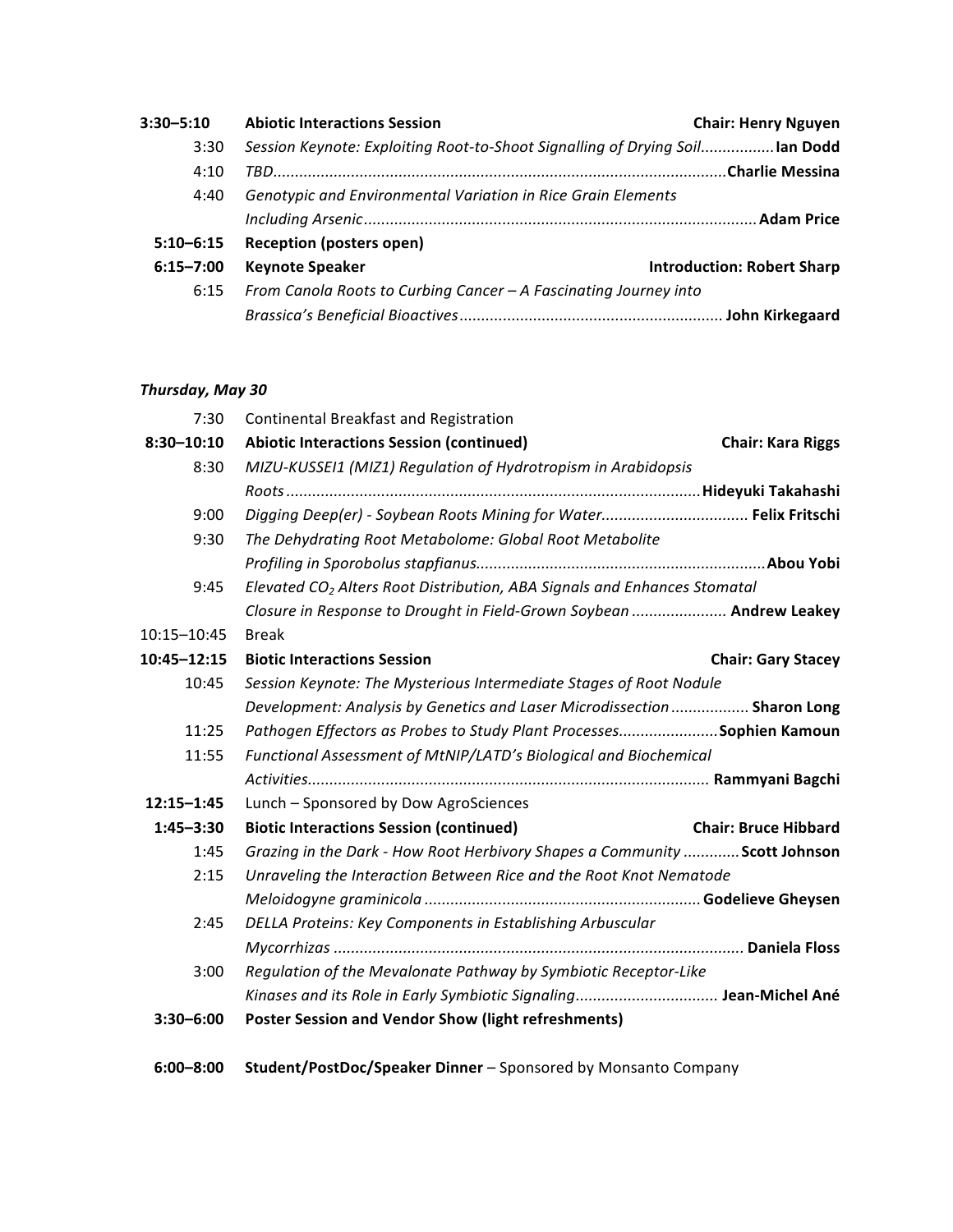| $3:30 - 5:10$ | <b>Abiotic Interactions Session</b>                                         | <b>Chair: Henry Nguyen</b>        |
|---------------|-----------------------------------------------------------------------------|-----------------------------------|
| 3:30          | Session Keynote: Exploiting Root-to-Shoot Signalling of Drying Soillan Dodd |                                   |
| 4:10          |                                                                             |                                   |
| 4:40          | Genotypic and Environmental Variation in Rice Grain Elements                |                                   |
|               |                                                                             |                                   |
| $5:10 - 6:15$ | <b>Reception (posters open)</b>                                             |                                   |
| $6:15 - 7:00$ | <b>Keynote Speaker</b>                                                      | <b>Introduction: Robert Sharp</b> |
| 6:15          | From Canola Roots to Curbing Cancer - A Fascinating Journey into            |                                   |
|               |                                                                             |                                   |

## *Thursday, May 30*

| 7:30           | Continental Breakfast and Registration                                               |                             |  |
|----------------|--------------------------------------------------------------------------------------|-----------------------------|--|
| $8:30 - 10:10$ | <b>Abiotic Interactions Session (continued)</b>                                      | <b>Chair: Kara Riggs</b>    |  |
| 8:30           | MIZU-KUSSEI1 (MIZ1) Regulation of Hydrotropism in Arabidopsis                        |                             |  |
|                |                                                                                      |                             |  |
| 9:00           | Digging Deep(er) - Soybean Roots Mining for Water Felix Fritschi                     |                             |  |
| 9:30           | The Dehydrating Root Metabolome: Global Root Metabolite                              |                             |  |
|                |                                                                                      |                             |  |
| 9:45           | Elevated CO <sub>2</sub> Alters Root Distribution, ABA Signals and Enhances Stomatal |                             |  |
|                | Closure in Response to Drought in Field-Grown Soybean  Andrew Leakey                 |                             |  |
| 10:15-10:45    | <b>Break</b>                                                                         |                             |  |
| 10:45-12:15    | <b>Biotic Interactions Session</b>                                                   | <b>Chair: Gary Stacey</b>   |  |
| 10:45          | Session Keynote: The Mysterious Intermediate Stages of Root Nodule                   |                             |  |
|                | Development: Analysis by Genetics and Laser Microdissection  Sharon Long             |                             |  |
| 11:25          | Pathogen Effectors as Probes to Study Plant ProcessesSophien Kamoun                  |                             |  |
| 11:55          | Functional Assessment of MtNIP/LATD's Biological and Biochemical                     |                             |  |
|                |                                                                                      |                             |  |
| $12:15 - 1:45$ | Lunch - Sponsored by Dow AgroSciences                                                |                             |  |
| $1:45 - 3:30$  | <b>Biotic Interactions Session (continued)</b>                                       | <b>Chair: Bruce Hibbard</b> |  |
| 1:45           | Grazing in the Dark - How Root Herbivory Shapes a Community  Scott Johnson           |                             |  |
| 2:15           | Unraveling the Interaction Between Rice and the Root Knot Nematode                   |                             |  |
|                |                                                                                      |                             |  |
| 2:45           | DELLA Proteins: Key Components in Establishing Arbuscular                            |                             |  |
|                |                                                                                      |                             |  |
| 3:00           | Regulation of the Mevalonate Pathway by Symbiotic Receptor-Like                      |                             |  |
|                | Kinases and its Role in Early Symbiotic Signaling Jean-Michel Ané                    |                             |  |
| $3:30 - 6:00$  | <b>Poster Session and Vendor Show (light refreshments)</b>                           |                             |  |
| $6:00 - 8:00$  | Student/PostDoc/Speaker Dinner - Sponsored by Monsanto Company                       |                             |  |